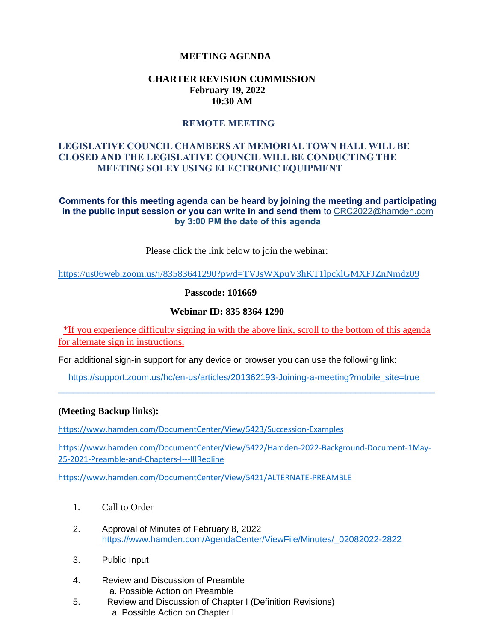### **MEETING AGENDA**

### **CHARTER REVISION COMMISSION February 19, 2022 10:30 AM**

### **REMOTE MEETING**

### **LEGISLATIVE COUNCIL CHAMBERS AT MEMORIAL TOWN HALL WILL BE CLOSED AND THE LEGISLATIVE COUNCIL WILL BE CONDUCTING THE MEETING SOLEY USING ELECTRONIC EQUIPMENT**

#### **Comments for this meeting agenda can be heard by joining the meeting and participating in the public input session or you can write in and send them** to CRC2022@hamden.com **by 3:00 PM the date of this agenda**

Please click the link below to join the webinar:

<https://us06web.zoom.us/j/83583641290?pwd=TVJsWXpuV3hKT1lpcklGMXFJZnNmdz09>

#### **Passcode: 101669**

#### **Webinar ID: 835 8364 1290**

\*If you experience difficulty signing in with the above link, scroll to the bottom of this agenda for alternate sign in instructions.

For additional sign-in support for any device or browser you can use the following link:

 [https://support.zoom.us/hc/en-us/articles/201362193-Joining-a-meeting?mobile\\_site=true](https://support.zoom.us/hc/en-us/articles/201362193-Joining-a-meeting?mobile_site=true)  $\_$  ,  $\_$  ,  $\_$  ,  $\_$  ,  $\_$  ,  $\_$  ,  $\_$  ,  $\_$  ,  $\_$  ,  $\_$  ,  $\_$  ,  $\_$  ,  $\_$  ,  $\_$  ,  $\_$  ,  $\_$  ,  $\_$  ,  $\_$  ,  $\_$  ,  $\_$  ,  $\_$  ,  $\_$  ,  $\_$  ,  $\_$  ,  $\_$  ,  $\_$  ,  $\_$  ,  $\_$  ,  $\_$  ,  $\_$  ,  $\_$  ,  $\_$  ,  $\_$  ,  $\_$  ,  $\_$  ,  $\_$  ,  $\_$  ,

#### **(Meeting Backup links):**

<https://www.hamden.com/DocumentCenter/View/5423/Succession-Examples>

[https://www.hamden.com/DocumentCenter/View/5422/Hamden-2022-Background-Document-1May-](https://www.hamden.com/DocumentCenter/View/5422/Hamden-2022-Background-Document-1May-25-2021-Preamble-and-Chapters-I---IIIRedline)[25-2021-Preamble-and-Chapters-I---IIIRedline](https://www.hamden.com/DocumentCenter/View/5422/Hamden-2022-Background-Document-1May-25-2021-Preamble-and-Chapters-I---IIIRedline)

<https://www.hamden.com/DocumentCenter/View/5421/ALTERNATE-PREAMBLE>

- 1. Call to Order
- 2. Approval of Minutes of February 8, 2022 [https://www.hamden.com/AgendaCenter/ViewFile/Minutes/\\_02082022-2822](https://www.hamden.com/AgendaCenter/ViewFile/Minutes/_02082022-2822)
- 3. Public Input
- 4. Review and Discussion of Preamble a. Possible Action on Preamble
- 5. Review and Discussion of Chapter I (Definition Revisions) a. Possible Action on Chapter I